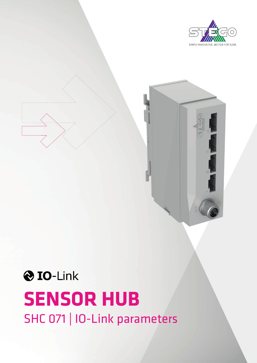





# **SENSOR HUB** SHC 071 | IO-Link parameters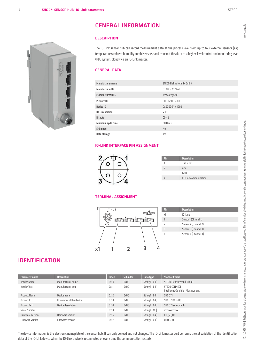#### **DESCRIPTION**

The IO-Link sensor hub can record measurement data at the process level from up to four external sensors (e.g. temperature/ambient humidity combi sensors) and transmit this data to a higher-level control and monitoring level (PLC system, cloud) via an IO-Link master.

#### GENERAL DATA

| Manufacturer name      | STEGO Elektrotechnik GmbH |
|------------------------|---------------------------|
| Manufacturer ID        | 0x04C6 / 1222d            |
| Manufacturer URL       | www.stego.de              |
| Product ID             | SHC 07100.2-00            |
| Device ID              | 0x000064 / 100d           |
| <b>IO-Link version</b> | V <sub>1.1</sub>          |
| <b>Bit rate</b>        | COM <sub>2</sub>          |
| Minimum cycle time     | 30.0 ms                   |
| SIO mode               | N <sub>0</sub>            |
| Data storage           | Yes                       |

#### IO-LINK INTERFACE PIN ASSIGNMENT



| Pin | <b>Description</b>    |
|-----|-----------------------|
|     | $+24$ V DC            |
|     | n/a                   |
|     | GND                   |
|     | IO-Link communication |

#### TERMINAL ASSIGNMENT



| Pin            | <b>Description</b>   |
|----------------|----------------------|
| x1             | IO-Link              |
| 1              | Sensor 1 (Channel 1) |
| $\overline{2}$ | Sensor 2 (Channel 2) |
| $\overline{3}$ | Sensor 3 (Channel 3) |
| $\overline{4}$ | Sensor 4 (Channel 4) |

## IDENTIFICATION

| Parameter name          | <b>Description</b>      | <b>Index</b> | <b>Subindex</b> | Data type      | <b>Standard value</b>                             |
|-------------------------|-------------------------|--------------|-----------------|----------------|---------------------------------------------------|
| Vendor Name             | Manufacturer name       | 0x10         | 0x00            | StringT [64]   | STEGO Elektrotechnik GmbH                         |
| Vendor Text             | Manufacturer text       | 0x11         | 0x00            | StringT [64]   | STEGO CONNECT<br>Intelligent Condition Management |
| <b>Product Name</b>     | Device name             | 0x12         | 0x00            | String $[64]$  | <b>SHC 071</b>                                    |
| Product ID              | ID number of the device | 0x13         | 0x00            | StringT [64]   | SHC 07100.2-00                                    |
| <b>Product Text</b>     | Device description      | 0x14         | 0x00            | StringT [64]   | SHC 071 sensor hub                                |
| Serial Number           |                         | 0x13         | 0x00            | StringT [16]   | XXXXXXXXXXXX                                      |
| <b>Hardware Version</b> | Hardware version        | 0x16         | 0x00            | StringT $[64]$ | <b>IOL SH 02</b>                                  |
| <b>Firmware Version</b> | Firmware version        | 0x17         | 0x00            | StringT [64]   | 01.00.00                                          |

The device information is the electronic nameplate of the sensor hub. It can only be read and not changed. The IO-Link master port performs the set validation of the identification data of the IO-Link device when the IO-Link device is reconnected or every time the communication restarts.

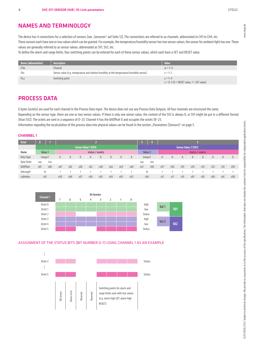## NAMES AND TERMINOLOGY

The device has 4 connections for a selection of sensors (see "Sensoren" auf Seite 12). The connections are referred to as channels; abbreviated to CH1 to CH4, etc. These sensors each have one or two values which can be queried. For example, the temperature/humidity sensor has two sensor values; the sensor for ambient light has one. These values are generally referred to as sensor values; abbreviated as SV1, SV2, etc.

To define the alarm and range limits, four switching points can be entered for each of these sensor values, which each have a SET and RESET value.

| Name (abbreviation)   | <b>Description</b>                                                                       | Value                                                       |
|-----------------------|------------------------------------------------------------------------------------------|-------------------------------------------------------------|
| CHW                   | Channel                                                                                  | $w = 1 - 4$                                                 |
| <b>SV<sub>x</sub></b> | Sensor value (e.g. temperature and relative humidity at the temperature/humidity sensor) | $x = 1 - 2$                                                 |
| $P_{V.Z}$             | Switching point                                                                          | $v = 1 - 4$<br>$z = 0 - 1$ (0 = RESET value, 1 = SET value) |

## PROCESS DATA

6 bytes (octets) are used for each channel in the Process Data Input. The device does not use any Process Data Outputs. All four channels are structured the same. Depending on the sensor type, there are one or two sensor values. If there is only one sensor value, the content of the SV2 is always 0, or SV1 might be put in a different format (than SV2). The octets are sent in a sequence of 0–23. Channel 4 has the bitOffset 0 and occupies the octets 18–23.

Information regarding the recalculation of the process data into physical values can be found in the section "Parameters (Sensors)" on page 5.

#### CHANNEL 1

| <b>Octet</b> |          |                 |            |                                        |     |                             |     |     |     |                            |                             |     |     |     |                  |     |     |     |     |     |
|--------------|----------|-----------------|------------|----------------------------------------|-----|-----------------------------|-----|-----|-----|----------------------------|-----------------------------|-----|-----|-----|------------------|-----|-----|-----|-----|-----|
|              |          |                 |            |                                        |     | <b>Sensor Value 1 (SV1)</b> |     |     |     |                            | <b>Sensor Value 2 (SV2)</b> |     |     |     |                  |     |     |     |     |     |
| Name         | Value 1  | status / events |            |                                        |     |                             |     |     |     | Value 2<br>status / events |                             |     |     |     |                  |     |     |     |     |     |
| Data Type    | IntegerT |                 | B          | B                                      | B   | B                           | B.  | B   | B   | B                          | IntegerT                    |     | B   | B   | B                | B   | B   | B   | B   | B   |
| Byte Order   | high     | low             |            |                                        |     |                             |     |     |     |                            | high                        | low |     |     |                  |     |     |     |     |     |
| bitOffset    | xBF      | xB0             | <b>xAF</b> | xAE                                    | xAD | <b>XAC</b>                  | xAB | xAA | xA9 | xA8                        | xA7                         | x98 | x97 | x96 | x95              | x94 | x93 | x92 | x91 | x90 |
| bitLength    | 16       |                 |            |                                        |     |                             |     |     |     |                            | 16                          |     |     |     |                  |     |     |     |     |     |
| subindex     | x01      |                 | x09        | x06<br>x05<br>x08<br>x03<br>x07<br>x04 |     |                             |     |     | x02 | xOA                        |                             | x12 | x11 | x10 | x <sub>0</sub> F | x0E | x0D | x00 | xOB |     |



#### ASSIGNMENT OF THE STATUS BITS (BIT NUMBER 0–7) USING CHANNEL 1 AS AN EXAMPLE

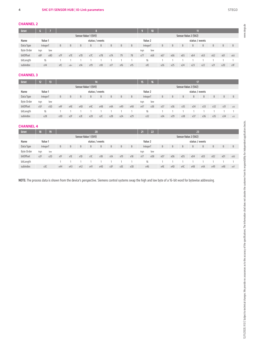www.stego.de

#### CHANNEL 2

| <b>Octet</b>      |          |                            |     |      |                      |     |     |     |                            |     |                      | 10  |     |     |     | T   |     |     |     |     |
|-------------------|----------|----------------------------|-----|------|----------------------|-----|-----|-----|----------------------------|-----|----------------------|-----|-----|-----|-----|-----|-----|-----|-----|-----|
|                   |          |                            |     |      | Sensor Value 1 (SV1) |     |     |     |                            |     | Sensor Value 2 (SV2) |     |     |     |     |     |     |     |     |     |
| Name              |          | Value 1<br>status / events |     |      |                      |     |     |     | Value 2<br>status / events |     |                      |     |     |     |     |     |     |     |     |     |
| Data Type         | IntegerT |                            | B   | B    | B                    | B   | B   | B   | $\overline{B}$             | B   | IntegerT             |     | B   | B   | B   | B   | B   | B   | B   | B   |
| <b>Byte Order</b> | high     | low                        |     |      |                      |     |     |     |                            |     | high                 | low |     |     |     |     |     |     |     |     |
| bitOffset         | x8F      | x80                        | x7F | x7E  | x7D                  | x7C | x7B | x7A | 79                         | 78  | x77                  | x68 | x67 | x66 | x65 | x64 | x63 | x62 | x61 | x60 |
| bitLength         |          | 16                         |     |      |                      |     |     |     |                            |     | 16                   |     |     |     |     |     |     |     |     |     |
| subindex          | x14      |                            | x1C | x1B< | x1A                  | x19 | x18 | x17 | x16                        | x15 | x1E                  |     | x26 | x25 | x24 | x23 | x22 | x21 | x20 | x1F |

#### CHANNEL 3

| <b>Octet</b>      | 12              |     |                 | 14              |                  |                      |     |     |     |     | 15       | 16  |     |     |                      |                 |     |     |     |     |
|-------------------|-----------------|-----|-----------------|-----------------|------------------|----------------------|-----|-----|-----|-----|----------|-----|-----|-----|----------------------|-----------------|-----|-----|-----|-----|
|                   |                 |     |                 |                 |                  | Sensor Value 1 (SV1) |     |     |     |     |          |     |     |     | Sensor Value 2 (SV2) |                 |     |     |     |     |
| Name              | Value 1         |     | status / events |                 |                  |                      |     |     |     |     | Value 2  |     |     |     |                      | status / events |     |     |     |     |
| Data Type         | IntegerT        |     | B               | B               | B                | B                    | B   | B   | B   | B   | IntegerT |     | B   | B   | B                    | B               | B.  | B   | B   | B   |
| <b>Byte Order</b> | high            | low |                 |                 |                  |                      |     |     |     |     | high     | low |     |     |                      |                 |     |     |     |     |
| bitOffset         | x <sub>5F</sub> | x50 | x4F             | x4E             | x4D              | x4C                  | x4B | x4A | x49 | x48 | x47      | x38 | x37 | x36 | x35                  | x34             | x33 | x32 | x31 | x30 |
| bitLength         | 16              |     |                 |                 |                  |                      |     |     |     |     | 16       |     |     |     |                      |                 |     |     |     |     |
| subindex          | x28             |     | x30             | x <sub>2F</sub> | x <sub>2</sub> E | x2D                  | x2C | x2B | x2A | x29 | x32      |     | x3A | x39 | x38                  | x37             | x36 | x35 | x34 | x33 |

#### CHANNEL 4

| <b>Octet</b>      | 18                         | $-192$ |     | 20  |                      |     |     |                            |     | 21  | 22                   |     | 23  |     |     |     |     |     |     |     |
|-------------------|----------------------------|--------|-----|-----|----------------------|-----|-----|----------------------------|-----|-----|----------------------|-----|-----|-----|-----|-----|-----|-----|-----|-----|
|                   |                            |        |     |     | Sensor Value 1 (SV1) |     |     |                            |     |     | Sensor Value 2 (SV2) |     |     |     |     |     |     |     |     |     |
| Name              | Value 1<br>status / events |        |     |     |                      |     |     | Value 2<br>status / events |     |     |                      |     |     |     |     |     |     |     |     |     |
| Data Type         | IntegerT                   |        | B   | B   | B                    | B   | B.  | B                          | B   | B   | IntegerT             |     | B   | B   | B   | B   | B   | B   | B   | B   |
| <b>Byte Order</b> | high                       | low    |     |     |                      |     |     |                            |     |     | high                 | low |     |     |     |     |     |     |     |     |
| bitOffset         | x2F                        | x20    | x1F | x1E | x1D                  | x1C | x1B | x1A                        | x19 | x18 | x17                  | x08 | x07 | x06 | x05 | x04 | x03 | x02 | x01 | x00 |
| bitLength         |                            |        |     |     |                      |     |     |                            |     |     | 16                   |     |     |     |     |     |     |     |     |     |
| subindex          | x3C                        |        | x44 | x43 | x42                  | x41 | x40 | x3F                        | x3E | x3D | x46                  |     | x4E | x4D | x40 | x4B | x4A | x49 | x48 | x47 |

NOTE: The process data is shown from the device's perspective. Siemens control systems swap the high and low byte of a 16-bit word for bytewise addressing.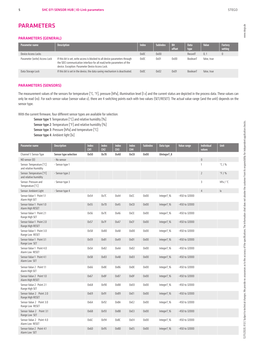## PARAMETERS

#### PARAMETERS (GENERAL)

| Parameter name                | <b>Description</b>                                                                                                                                                                                        | Index | <b>Subindex</b> | <b>Bit</b><br>offset | <b>Data</b><br>type | <b>Value</b> | <b>Factory</b><br>setting |
|-------------------------------|-----------------------------------------------------------------------------------------------------------------------------------------------------------------------------------------------------------|-------|-----------------|----------------------|---------------------|--------------|---------------------------|
| Device Access Locks           |                                                                                                                                                                                                           | 0x00  | 0x00            |                      | RecordT             | 0.1          |                           |
| Parameter (write) Access Lock | If this bit is set, write access is blocked to all device parameters through<br>the SDCI communication interface for all read/write parameters of the<br>device. Exception: Parameter Device Access Lock. | 0x0C  | 0x01            | 0x00                 | BooleanT            | false, true  |                           |
| Data Storage Lock             | If this bit is set in the device, the data saving mechanism is deactivated.                                                                                                                               | 0x0C  | 0x02            | 0x01                 | BooleanT            | false, true  |                           |

#### PARAMETERS (SENSORS)

The measurement values of the sensors for temperature [°C, °F], pressure [hPa], illumination level [I x] and the current status are depicted in the process data. These values can only be read (ro). For each sensor value (sensor value x), there are 4 switching points each with two values (SET/RESET). The actual value range (and the unit) depends on the sensor type.

With the current firmware, four different sensor types are available for selection:

Sensor type 1: Temperature [°C] and relative humidity [%]

Sensor type 2: Temperature [°F] and relative humidity [%]

Sensor type 3: Pressure [hPa] and temperature [°C]

Sensor type 4: Ambient light [lx]

| Parameter name                                    | <b>Description</b>    | <b>Index</b><br>CH <sub>1</sub> | <b>Index</b><br>CH <sub>2</sub> | <b>Index</b><br>CH <sub>3</sub> | <b>Index</b><br>CH <sub>4</sub> | <b>Subindex</b> | Data type   | <b>Value range</b> | <b>Individual</b><br>values | <b>Unit</b>             |
|---------------------------------------------------|-----------------------|---------------------------------|---------------------------------|---------------------------------|---------------------------------|-----------------|-------------|--------------------|-----------------------------|-------------------------|
| Channel 1: Sensor Type                            | Sensor type selection | 0x50                            | 0x78                            | 0xA0                            | 0xC8                            | 0x00            | UIntegerT 8 |                    |                             |                         |
| NO sensor (0)                                     | - No sensor           |                                 |                                 |                                 |                                 |                 |             |                    | $\mathbf 0$                 | $\mathcal{L}$           |
| Sensor: Temperature [°C]<br>and relative Humidity | - Sensor type 1       |                                 |                                 |                                 |                                 |                 |             |                    | $\mathbf{1}$                | $\degree$ C / %         |
| Sensor: Temperature [°F]<br>and relative humidity | - Sensor type 2       |                                 |                                 |                                 |                                 |                 |             |                    | $\overline{2}$              | $\degree$ F / %         |
| Sensor: Pressure and<br>Temperature [°C]          | - Sensor type 3       |                                 |                                 |                                 |                                 |                 |             |                    | $\overline{3}$              | hPa / °C                |
| Sensor: Ambient Light                             | - Sensor type 4       |                                 |                                 |                                 |                                 |                 |             |                    | $\overline{4}$              | $\mathsf{I} \mathsf{X}$ |
| Sensor Value 1 Point 1.1<br>Alarm High SET        |                       | 0x54                            | Ox7C                            | OxA4                            | OxCC                            | 0x00            | IntegerT_16 | -450 to 32000      |                             |                         |
| Sensor Value 1 Point 1.0<br>Alarm High RESET      |                       | 0x55                            | 0x7D                            | OxA5                            | OxCD                            | 0x00            | IntegerT_16 | -450 to 32000      |                             |                         |
| Sensor Value 1 Point 2.1<br>Range High SET        |                       | 0x56                            | 0x7E                            | 0xA6                            | OxCE                            | 0x00            | IntegerT_16 | -450 to 32000      |                             |                         |
| Sensor Value 1 Point 2.0<br>Range High RESET      |                       | 0x57                            | Ox7F                            | OxA7                            | OxCF                            | 0x00            | IntegerT_16 | -450 to 32000      |                             |                         |
| Sensor Value 1 Point 3.0<br>Range Low RESET       |                       | 0x58                            | 0x80                            | OxA8                            | 0xD0                            | 0x00            | IntegerT_16 | -450 to 32000      |                             |                         |
| Sensor Value 1 Point 3.1<br>Range Low SET         |                       | 0x59                            | 0x81                            | OxA9                            | OxD1                            | 0x00            | IntegerT_16 | -450 to 32000      |                             |                         |
| Sensor Value 1 Point 4.0<br>Alarm Low RESET       |                       | Ox5A                            | 0x82                            | OxAA                            | OxD <sub>2</sub>                | 0x00            | IntegerT_16 | -450 to 32000      |                             |                         |
| Sensor Value 1 Point 4.1<br>Alarm Low SET         |                       | Ox5B                            | 0x83                            | OxAB                            | OxD3                            | 0x00            | IntegerT_16 | -450 to 32000      |                             |                         |
| Sensor Value 2 Point 1.1<br>Alarm High SET        |                       | 0x66                            | 0x8E                            | OxB6                            | OxDE                            | 0x00            | IntegerT_16 | -450 to 32000      |                             |                         |
| Sensor Value 2 Point 1.0<br>Alarm High RESET      |                       | 0x67                            | Ox8F                            | 0xB7                            | OxDF                            | 0x00            | IntegerT_16 | -450 to 32000      |                             |                         |
| Sensor Value 2 Point 2.1<br>Range High SET        |                       | 0x68                            | 0x90                            | 0xB8                            | 0xE0                            | 0x00            | IntegerT_16 | -450 to 32000      |                             |                         |
| Sensor Value 2 Point 2.0<br>Range High RESET      |                       | 0x69                            | 0x91                            | OxB9                            | OxE1                            | 0x00            | IntegerT_16 | -450 to 32000      |                             |                         |
| Sensor Value 2 Point 3.0<br>Range Low RESET       |                       | <b>Ох6А</b>                     | 0x92                            | OxBA                            | OxE2                            | 0x00            | IntegerT_16 | -450 to 32000      |                             |                         |
| Sensor Value 2 Point 3.1<br>Range Low SET         |                       | Ox6B                            | 0x93                            | OxBB                            | OxE3                            | 0x00            | IntegerT_16 | -450 to 32000      |                             |                         |
| Sensor Value 2 Point 4.0<br>Alarm Low RESET       |                       | Ох6С                            | 0x94                            | OxBC                            | OxE4                            | 0x00            | IntegerT_16 | -450 to 32000      |                             |                         |
| Sensor Value 2 Point 4.1<br>Alarm Low SET         |                       | 0x6D                            | 0x95                            | OxBD                            | OxE5                            | 0x00            | IntegerT_16 | -450 to 32000      |                             |                         |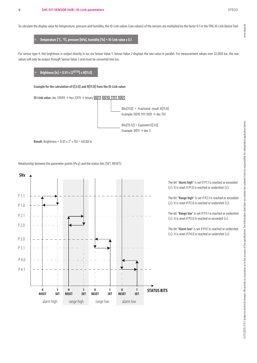www.stego.de

To calculate the display value for temperature, pressure and humidity, the IO-Link values (raw values) of the sensors are multiplied by the factor 0.1 in the TMG IO-Link Device Tool:

> Temperature [°C, °F], pressure [hPa], humidity [%] = IO-Link value x 0.1

For sensor type 4, the brightness is output directly in lux via Sensor Value 1. Sensor Value 2 displays the raw value in parallel. For measurement values over 32,000 lux, the raw values will only be output through Sensor Value 2 and must be converted into lux.

## $\overline{\text{Brightness}\left[\text{lx}\right]} = 0.01 \times (2^{\text{E[3:0]}}) \times \text{R[11:0]}$

Example for the calculation of E[3:0] and R[11:0] from the IO-Link value:

**IO-Link value: dec 13049**  $\rightarrow$  **hex 32F9**  $\rightarrow$  **binary 0011 0010 1111 1001** 



**Result:** Brightness =  $0.01 \times 2^3 \times 761 = 60.88$  lx

Relationship between the parameter points (Px.y) and the status bits (SET, RESET):



The bit "Alarm high" is set if P1.1 is reached or exceeded (≥). It is reset if P1.0 is reached or undershot (≤).

The bit "Range high" is set if P2.1 is reached or exceeded (≥). It is reset if P2.0 is reached or undershot (≤).

The bit "Range low" is set if P3.1 is reached or undershot (≤). It is reset if P3.0 is reached or exceeded (≥).

The bit "Alarm low" is set if P4.1 is reached or undershot (≤). It is reset if P4.0 is reached or undershot (≥).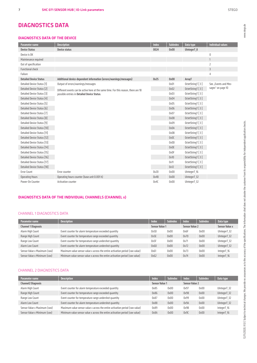## DIAGNOSTICS DATA

#### DIAGNOSTICS DATA OF THE DEVICE

| <b>Parameter name</b>         | <b>Description</b>                                                                  | <b>Index</b> | <b>Subindex</b> | Data type        | <b>Individual values</b> |
|-------------------------------|-------------------------------------------------------------------------------------|--------------|-----------------|------------------|--------------------------|
| <b>Device Status</b>          | <b>Device status</b>                                                                | 0024         | 0x00            | UIntegerT 8      |                          |
| Device is OK                  |                                                                                     |              |                 |                  | 0                        |
| Maintenance required          |                                                                                     |              |                 |                  | $\mathbf{1}$             |
| Out of specification          |                                                                                     |              |                 |                  | $\overline{2}$           |
| <b>Functional check</b>       |                                                                                     |              |                 |                  | $\overline{3}$           |
| Failure                       |                                                                                     |              |                 |                  | $\overline{4}$           |
| <b>Detailed Device Status</b> | Additional device-dependent information (errors/warnings/messages)                  | 0x25         | 0x00            | ArrayT           |                          |
| Detailed Device Status [1]    | Output of errors/warnings/messages                                                  |              | 0x01            | OctetStringT [3] | See "Events and Mes-     |
| Detailed Device Status [2]    | Different events can be active here at the same time. For this reason, there are 18 |              | 0x02            | OctetStringT [3] | sages" on page 10        |
| Detailed Device Status [3]    | possible entries in Detailed Device Status.                                         |              | 0x03            | OctetStringT [3] |                          |
| Detailed Device Status [4]    |                                                                                     |              | 0x04            | OctetStringT [3] |                          |
| Detailed Device Status [5]    |                                                                                     |              | 0x05            | OctetStringT [3] |                          |
| Detailed Device Status [6]    |                                                                                     |              | 0x06            | OctetStringT [3] |                          |
| Detailed Device Status [7]    |                                                                                     |              | 0x07            | OctetStringT [3] |                          |
| Detailed Device Status [8]    |                                                                                     |              | 0x08            | OctetStringT [3] |                          |
| Detailed Device Status [9]    |                                                                                     |              | 0x09            | OctetStringT [3] |                          |
| Detailed Device Status [10]   |                                                                                     |              | 0x0A            | OctetStringT [3] |                          |
| Detailed Device Status [11]   |                                                                                     |              | 0x0B            | OctetStringT [3] |                          |
| Detailed Device Status [12]   |                                                                                     |              | OxOC            | OctetStringT [3] |                          |
| Detailed Device Status [13]   |                                                                                     |              | 0x0D            | OctetStringT [3] |                          |
| Detailed Device Status [14]   |                                                                                     |              | 0x0E            | OctetStringT [3] |                          |
| Detailed Device Status [15]   |                                                                                     |              | 0x0F            | OctetStringT [3] |                          |
| Detailed Device Status [16]   |                                                                                     |              | 0x10            | OctetStringT [3] |                          |
| Detailed Device Status [17]   |                                                                                     |              | 0x11            | OctetStringT [3] |                          |
| Detailed Device Status [18]   |                                                                                     |              | 0x12            | OctetStringT [3] |                          |
| <b>Error Count</b>            | Error counter                                                                       | 0x20         | 0x00            | UIntegerT_16     |                          |
| <b>Operating Hours</b>        | Operating hours counter (base unit 0.001 h)                                         | 0x4B         | 0x00            | UIntegerT_32     |                          |
| Power-On Counter              | <b>Activation counter</b>                                                           | 0x4C         | 0x00            | UIntegerT_32     |                          |

#### DIAGNOSTICS DATA OF THE INDIVIDUAL CHANNELS (CHANNEL x)

#### CHANNEL 1 DIAGNOSTICS DATA

| Parameter name               | <b>Description</b>                                                           | <b>Index</b>          | <b>Subindex</b> | Index                 | <b>Subindex</b> | Data type             |
|------------------------------|------------------------------------------------------------------------------|-----------------------|-----------------|-----------------------|-----------------|-----------------------|
| <b>Channel 1 Diagnosis</b>   |                                                                              | <b>Sensor Value 1</b> |                 | <b>Sensor Value 2</b> |                 | <b>Sensor Value x</b> |
| Alarm High Count             | Event counter for alarm temperature exceeded quantity                        | 0x5D                  | 0x00            | 0x6F                  | 0x00            | UIntegerT 32          |
| Range High Count             | Event counter for temperature range exceeded quantity                        | 0x5E                  | 0x00            | 0x70                  | 0x00            | UIntegerT 32          |
| Range Low Count              | Event counter for temperature range undershot quantity                       | 0x5F                  | 0x00            | 0x71                  | 0x00            | UIntegerT 32          |
| Alarm Low Count              | Event counter for alarm temperature undershot quantity                       | 0x60                  | 0x00            | 0x72                  | 0x00            | UIntegerT_32          |
| Sensor Value x Maximum (raw) | Maximum value sensor value x across the entire activation period (raw value) | 0x61                  | 0x00            | 0x73                  | 0x00            | IntegerT_16           |
| Sensor Value x Minimum (raw) | Minimum value sensor value x across the entire activation period (raw value) | 0x62                  | 0x00            | 0x74                  | 0x00            | IntegerT_16           |

#### CHANNEL 2 DIAGNOSTICS DATA

| Parameter name               | <b>Description</b>                                                           | Index                 | <b>Subindex</b> | <b>Index</b>          | <b>Subindex</b> | Data type    |
|------------------------------|------------------------------------------------------------------------------|-----------------------|-----------------|-----------------------|-----------------|--------------|
| <b>Channel2 Diagnosis</b>    |                                                                              | <b>Sensor Value 1</b> |                 | <b>Sensor Value 2</b> |                 |              |
| Alarm High Count             | Event counter for alarm temperature exceeded quantity                        | 0x85                  | 0x00            | 0x97                  | 0x00            | UIntegerT_32 |
| Range High Count             | Event counter for temperature range exceeded quantity                        | 0x86                  | 0x00            | 0x98                  | 0x00            | UIntegerT 32 |
| Range Low Count              | Event counter for temperature range undershot quantity                       | 0x87                  | 0x00            | 0x99                  | 0x00            | UIntegerT 32 |
| Alarm Low Count              | Event counter for alarm temperature undershot quantity                       | 0x88                  | 0x00            | 0x9A                  | 0x00            | UIntegerT_32 |
| Sensor Value x Maximum (raw) | Maximum value sensor value x across the entire activation period (raw value) | 0x89                  | 0x00            | 0x9B                  | 0x00            | IntegerT 16  |
| Sensor Value x Minimum (raw) | Minimum value sensor value x across the entire activation period (raw value) | Ox8A                  | 0x00            | 0x9C                  | 0x00            | IntegerT_16  |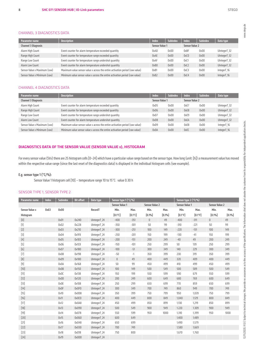#### CHANNEL 3 DIAGNOSTICS DATA

| Parameter name               | <b>Description</b>                                                           | <b>Index</b>          | <b>Subindex</b> | <b>Index</b>          | <b>Subindex</b> | Data type    |
|------------------------------|------------------------------------------------------------------------------|-----------------------|-----------------|-----------------------|-----------------|--------------|
|                              |                                                                              |                       |                 |                       |                 |              |
| <b>Channel 3 Diagnosis</b>   |                                                                              | <b>Sensor Value 1</b> |                 | <b>Sensor Value 2</b> |                 |              |
| Alarm High Count             | Event counter for alarm temperature exceeded quantity                        | OxAD                  | 0x00            | 0xBF                  | 0x00            | UIntegerT_32 |
| Range High Count             | Event counter for temperature range exceeded quantity                        | OxAE                  | 0x00            | 0xC0                  | 0x00            | UIntegerT 32 |
| Range Low Count              | Event counter for temperature range undershot quantity                       | OxAF                  | 0x00            | 0xC                   | 0x00            | UIntegerT 32 |
| Alarm Low Count              | Event counter for alarm temperature undershot quantity                       | 0xB0                  | 0x00            | 0xC2                  | 0x00            | UIntegerT 32 |
| Sensor Value x Maximum (raw) | Maximum value sensor value x across the entire activation period (raw value) | 0xB1                  | 0x00            | 0xC3                  | 0x00            | IntegerT_16  |
| Sensor Value x Minimum (raw) | Minimum value sensor value x across the entire activation period (raw value) | 0xB2                  | 0x00            | 0xC4                  | 0x00            | IntegerT_16  |

#### CHANNEL 4 DIAGNOSTICS DATA

| Parameter name               | <b>Description</b>                                                           | Index                 | <b>Subindex</b> | <b>Index</b>          | <b>Subindex</b> | Data type    |
|------------------------------|------------------------------------------------------------------------------|-----------------------|-----------------|-----------------------|-----------------|--------------|
| <b>Channel 3 Diagnosis</b>   |                                                                              | <b>Sensor Value 1</b> |                 | <b>Sensor Value 2</b> |                 |              |
| Alarm High Count             | Event counter for alarm temperature exceeded quantity                        | 0xD5                  | 0x00            | OxE7                  | 0x00            | UIntegerT 32 |
| Range High Count             | Event counter for temperature range exceeded quantity                        | 0xD6                  | 0x00            | OxE8                  | 0x00            | UIntegerT 32 |
| Range Low Count              | Event counter for temperature range undershot quantity                       | 0xD7                  | 0x00            | 0xE9                  | 0x00            | UIntegerT_32 |
| Alarm Low Count              | Event counter for alarm temperature undershot quantity                       | 0xD8                  | 0x00            | <b>OxEA</b>           | 0x00            | UIntegerT 32 |
| Sensor Value x Maximum (raw) | Maximum value sensor value x across the entire activation period (raw value) | 0xD9                  | 0x00            | OxEB                  | 0x00            | IntegerT 16  |
| Sensor Value x Minimum (raw) | Minimum value sensor value x across the entire activation period (raw value) | OxDA                  | 0x00            | OxEC                  | 0x00            | IntegerT_16  |

#### DIAGNOSTICS DATA OF THE SENSOR VALUE (SENSOR VALUE x), HISTOGRAM

For every sensor value (SVx) there are 25 histogram cells [0–24] which have a particular value range based on the sensor type. How long (unit: [h]) a measurement value has moved within the respective value range (since the last reset of the diagnostics data) is displayed in the individual histogram cells (see example).

#### E.g. sensor type 1 (°C/%):

Sensor Value 1 histogram cell [10] – temperature range 10 to 15°C: value 0.30 h

#### SENSOR TYPE 1, SENSOR TYPE 2

| <b>Parameter name</b>                                                                                                                                                                                                                                                                                                                                                                                                                                                                                                                                                                              | Index | <b>Subindex</b> | <b>Bit offset</b> | Data type    | Sensor type 1 (°C/%)            |                  |                       |        | Sensor type 2 (°F/%)  |            |                       |        |  |
|----------------------------------------------------------------------------------------------------------------------------------------------------------------------------------------------------------------------------------------------------------------------------------------------------------------------------------------------------------------------------------------------------------------------------------------------------------------------------------------------------------------------------------------------------------------------------------------------------|-------|-----------------|-------------------|--------------|---------------------------------|------------------|-----------------------|--------|-----------------------|------------|-----------------------|--------|--|
|                                                                                                                                                                                                                                                                                                                                                                                                                                                                                                                                                                                                    |       |                 |                   |              | <b>Sensor Value 1</b>           |                  | <b>Sensor Value 2</b> |        | <b>Sensor Value 1</b> |            | <b>Sensor Value 2</b> |        |  |
| <b>Sensor Value x</b>                                                                                                                                                                                                                                                                                                                                                                                                                                                                                                                                                                              | 0x63  | 0x00            |                   | RecordT      | Min.                            | Max.             | Min.                  | Max.   | Min.                  | Max.       | Min.                  | Max.   |  |
| Histogram                                                                                                                                                                                                                                                                                                                                                                                                                                                                                                                                                                                          |       |                 |                   |              | $[0.1^{\circ}C]$                | $[0.1^{\circ}C]$ | [0.1%]                | [0.1%] | $[0.1$ °F]            | $[0.1$ °F] | [0.1%]                | [0.1%] |  |
| $[0] % \begin{center} % \includegraphics[width=\linewidth]{imagesSupplemental_3.png} % \end{center} % \caption { % Our method can be used for the use of the image. % Note that the \emph{DefNet}~\cite{bib66} as a function of the \emph{DefNet}~\cite{bib66} as a function of the \emph{DefNet}~\cite{bib66} as a function of the \emph{DefNet}~\cite{bib66} as a function of the \emph{DefNet}~\cite{bib66} as a function of the \emph{DefNet}~\cite{bib66} as a function of the \emph{DefNet}~\cite{bib66} as a function of the \emph{DefNet}~\cite{bib66} as a function of the \emph{DefNet}$ |       | 0x01            | 0x240             | UIntegerT_24 | $-400$                          | $-351$           | $\mathbf{0}$          | 49     | $-400$                | $-311$     | $\mathbf{0}$          | 49     |  |
| $[1]$                                                                                                                                                                                                                                                                                                                                                                                                                                                                                                                                                                                              |       | 0x02            | 0x228             | UIntegerT_24 | $-350$                          | $-301$           | 50                    | 99     | $-310$                | $-221$     | 50                    | 99     |  |
| $[2]$                                                                                                                                                                                                                                                                                                                                                                                                                                                                                                                                                                                              |       | 0x03            | 0x210             | UIntegerT_24 | $-300$                          | $-251$           | 100                   | 149    | $-220$                | $-131$     | 100                   | 149    |  |
| $[3]$                                                                                                                                                                                                                                                                                                                                                                                                                                                                                                                                                                                              |       | 0x04            | 0x1F8             | UIntegerT 24 | $-250$                          | $-201$           | 150                   | 199    | $-130$                | $-41$      | 150                   | 199    |  |
| $[4]$                                                                                                                                                                                                                                                                                                                                                                                                                                                                                                                                                                                              |       | 0x05            | 0x1E0             | UIntegerT_24 | $-200$                          | $-151$           | 200                   | 249    | $-40$                 | 49         | 200                   | 249    |  |
| $[5]$                                                                                                                                                                                                                                                                                                                                                                                                                                                                                                                                                                                              |       | 0x06            | Ox1C8             | UIntegerT_24 | $-150$                          | $-101$           | 250                   | 299    | 50                    | 139        | 250                   | 299    |  |
| [6]                                                                                                                                                                                                                                                                                                                                                                                                                                                                                                                                                                                                |       | 0x07            | 0x1B0             | UIntegerT 24 | $-100$                          | $-51$            | 300                   | 349    | 140                   | 229        | 300                   | 349    |  |
| $[7]$                                                                                                                                                                                                                                                                                                                                                                                                                                                                                                                                                                                              |       | 0x08            | 0x198             | UIntegerT 24 | $-50$                           | $-1$             | 350                   | 399    | 230                   | 319        | 350                   | 399    |  |
| [8]                                                                                                                                                                                                                                                                                                                                                                                                                                                                                                                                                                                                |       | 0x09            | 0x180             | UIntegerT_24 | $\begin{matrix} 0 \end{matrix}$ | 49               | 400                   | 449    | 320                   | 409        | 400                   | 449    |  |
| $[9]$                                                                                                                                                                                                                                                                                                                                                                                                                                                                                                                                                                                              |       | 0x0A            | 0x168             | UIntegerT 24 | 50                              | 99               | 450                   | 499    | 410                   | 499        | 450                   | 499    |  |
| $[10]$                                                                                                                                                                                                                                                                                                                                                                                                                                                                                                                                                                                             |       | 0x0B            | 0x150             | UIntegerT 24 | 100                             | 149              | 500                   | 549    | 500                   | 589        | 500                   | 549    |  |
| $[11]$                                                                                                                                                                                                                                                                                                                                                                                                                                                                                                                                                                                             |       | 0x0C            | 0x138             | UIntegerT_24 | 150                             | 199              | 550                   | 599    | 590                   | 679        | 550                   | 599    |  |
| $[12]$                                                                                                                                                                                                                                                                                                                                                                                                                                                                                                                                                                                             |       | 0x0D            | 0x120             | UIntegerT 24 | 200                             | 249              | 600                   | 649    | 680                   | 769        | 600                   | 649    |  |
| $[13]$                                                                                                                                                                                                                                                                                                                                                                                                                                                                                                                                                                                             |       | 0x0E            | 0x108             | UIntegerT 24 | 250                             | 299              | 650                   | 699    | 770                   | 859        | 650                   | 699    |  |
| $[14]$                                                                                                                                                                                                                                                                                                                                                                                                                                                                                                                                                                                             |       | OxOF            | 0x0F0             | UIntegerT_24 | 300                             | 349              | 700                   | 749    | 860                   | 949        | 700                   | 749    |  |
| $[15]$                                                                                                                                                                                                                                                                                                                                                                                                                                                                                                                                                                                             |       | 0x10            | OxOD <sub>8</sub> | UIntegerT 24 | 350                             | 399              | 750                   | 799    | 950                   | 1,039      | 750                   | 799    |  |
| $[16]$                                                                                                                                                                                                                                                                                                                                                                                                                                                                                                                                                                                             |       | 0x11            | 0x0CO             | UIntegerT_24 | 400                             | 449              | 800                   | 849    | 1.040                 | 1.129      | 800                   | 849    |  |
| $[17]$                                                                                                                                                                                                                                                                                                                                                                                                                                                                                                                                                                                             |       | 0x12            | 0x0A8             | UIntegerT_24 | 450                             | 499              | 850                   | 899    | 1,130                 | 1,219      | 850                   | 899    |  |
| $[18]$                                                                                                                                                                                                                                                                                                                                                                                                                                                                                                                                                                                             |       | 0x13            | 0x090             | UIntegerT_24 | 500                             | 549              | 900                   | 949    | 1.220                 | 1.309      | 900                   | 949    |  |
| $[19]$                                                                                                                                                                                                                                                                                                                                                                                                                                                                                                                                                                                             |       | 0x14            | 0x078             | UIntegerT 24 | 550                             | 599              | 950                   | 1000   | 1,310                 | 1,399      | 950                   | 1000   |  |
| $[20]$                                                                                                                                                                                                                                                                                                                                                                                                                                                                                                                                                                                             |       | 0x15            | 0x060             | UIntegerT_24 | 600                             | 649              |                       |        | 1,400                 | 1,489      |                       |        |  |
| $[21]$                                                                                                                                                                                                                                                                                                                                                                                                                                                                                                                                                                                             |       | 0x16            | 0x048             | UIntegerT_24 | 650                             | 699              |                       |        | 1,490                 | 1,579      |                       |        |  |
| $[22]$                                                                                                                                                                                                                                                                                                                                                                                                                                                                                                                                                                                             |       | 0x17            | 0x030             | UIntegerT 24 | 700                             | 749              |                       |        | 1,580                 | 1,669      |                       |        |  |
| $[23]$                                                                                                                                                                                                                                                                                                                                                                                                                                                                                                                                                                                             |       | 0x18            | 0x018             | UIntegerT_24 | 750                             | 800              |                       |        | 1,670                 | 1,760      |                       |        |  |
| $[24]$                                                                                                                                                                                                                                                                                                                                                                                                                                                                                                                                                                                             |       | 0x19            | 0x000             | UIntegerT 24 |                                 |                  |                       |        |                       |            |                       |        |  |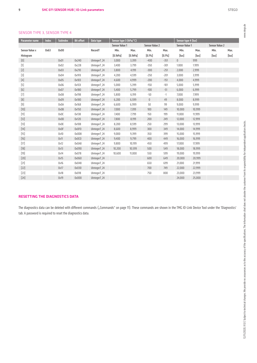#### SENSOR TYPE 3, SENSOR TYPE 4

|  | I      |  |
|--|--------|--|
|  |        |  |
|  |        |  |
|  | í      |  |
|  | í<br>í |  |
|  | í<br>í |  |
|  |        |  |

| I<br>ì<br>š<br>j              |
|-------------------------------|
| å<br>$\frac{1}{2}$<br>i<br>i  |
| Š                             |
| WWV.                          |
|                               |
|                               |
|                               |
|                               |
|                               |
|                               |
|                               |
|                               |
|                               |
|                               |
|                               |
|                               |
|                               |
|                               |
|                               |
|                               |
|                               |
|                               |
|                               |
|                               |
|                               |
|                               |
|                               |
|                               |
| j<br>Š                        |
| ä<br>į                        |
| I<br>Ξ                        |
| <b>Signal</b><br>i<br>ׅ֚֘֝֬   |
| Ē<br>ś                        |
| ï<br>J                        |
| Ë                             |
| į<br>ī<br>ź<br>j              |
| í<br>i<br>F<br>l              |
| ŧ<br>£                        |
| È                             |
| Ξ                             |
| È<br>Ĕ<br>j                   |
| ă<br>ו<br>נ                   |
| j<br>ļ                        |
| l<br>Ś                        |
|                               |
| I<br>¢<br>١                   |
| ţ                             |
| £                             |
| I                             |
| ý                             |
| Í<br>₽                        |
| I<br>ı                        |
| Ì<br>ì                        |
| i peri<br>3                   |
|                               |
| , rontier                     |
| i                             |
| i                             |
| g                             |
| ł                             |
| ħ<br>í                        |
| į<br>į                        |
| ≒                             |
| i                             |
| ŧ                             |
| i<br>ļ                        |
| È<br>i<br>j                   |
| J<br>ś                        |
| l                             |
| j                             |
| ì<br>ă                        |
| ì<br>j<br>I                   |
| j<br>assu                     |
| $\supseteq$                   |
| ś<br>j                        |
| $\overline{a}$<br>Ě<br>į<br>ţ |
| J                             |
| nges.                         |
| ᇹ                             |
|                               |
| j<br>j<br>Ξ                   |
| ă<br>J                        |
| l<br>j                        |
| ł<br>ے<br><br>ļ               |
| s<br>ś<br>₹                   |
| $\overline{a}$                |
| 5                             |
| <b>AND</b>                    |
| ļ<br>≓                        |
| ý                             |

| Parameter name                                                                                                                                                                                                                                                 | <b>Index</b> | <b>Subindex</b> | <b>Bit offset</b> | Data type    | Sensor type 3 (hPa/°C) |                |                       |        | Sensor type 4 (lux)   |             |                       |             |
|----------------------------------------------------------------------------------------------------------------------------------------------------------------------------------------------------------------------------------------------------------------|--------------|-----------------|-------------------|--------------|------------------------|----------------|-----------------------|--------|-----------------------|-------------|-----------------------|-------------|
|                                                                                                                                                                                                                                                                |              |                 |                   |              | <b>Sensor Value 1</b>  |                | <b>Sensor Value 2</b> |        | <b>Sensor Value 1</b> |             | <b>Sensor Value 2</b> |             |
| <b>Sensor Value x</b>                                                                                                                                                                                                                                          | 0x63         | 0x00            |                   | RecordT      | Min.                   | Max.           | Min.                  | Max.   | Min.                  | Max.        | Min.                  | Max.        |
| Histogram                                                                                                                                                                                                                                                      |              |                 |                   |              | $[0.1$ h $Pa]$         | $[0.1$ h $Pa]$ | [0.1%]                | [0.1%] | [ ux]                 | $[$ lux $]$ | $[$ lux $]$           | $[$ lux $]$ |
| [0]                                                                                                                                                                                                                                                            |              | 0x01            | 0x240             | UIntegerT_24 | 3,000                  | 3,399          | $-400$                | $-351$ | $\mathbf{0}$          | 999         |                       |             |
| $[1]$                                                                                                                                                                                                                                                          |              | 0x02            | 0x228             | UIntegerT 24 | 3,400                  | 3,799          | $-350$                | $-301$ | 1.000                 | 1.999       |                       |             |
| $[2]$                                                                                                                                                                                                                                                          |              | 0x03            | 0x210             | UIntegerT_24 | 3,800                  | 4,199          | $-300$                | $-251$ | 2,000                 | 2,999       |                       |             |
| $[3]$                                                                                                                                                                                                                                                          |              | 0x04            | 0x1F8             | UIntegerT 24 | 4,200                  | 4,599          | $-250$                | $-201$ | 3,000                 | 3,999       |                       |             |
| $[4] % \begin{center} \includegraphics[width=\textwidth]{images/TrDiM1-Architecture.png} \end{center} % \vspace*{-1em} \caption{The image shows the number of different types of the estimators in the image.} \vspace*{-1em} \label{fig:TrDiM1-Architecture}$ |              | 0x05            | 0x1E0             | UIntegerT_24 | 4,600                  | 4,999          | $-200$                | $-151$ | 4,000                 | 4,999       |                       |             |
| $[5]$                                                                                                                                                                                                                                                          |              | 0x06            | Ox1C8             | UIntegerT 24 | 5,000                  | 5,399          | $-150$                | $-101$ | 5,000                 | 5,999       |                       |             |
| $[6]$                                                                                                                                                                                                                                                          |              | 0x07            | 0x1B0             | UIntegerT_24 | 5,400                  | 5,799          | $-100$                | $-51$  | 6,000                 | 6,999       |                       |             |
| $[7]$                                                                                                                                                                                                                                                          |              | 0x08            | 0x198             | UIntegerT 24 | 5,800                  | 6,199          | $-50$                 | $-1$   | 7,000                 | 7,999       |                       |             |
| [8]                                                                                                                                                                                                                                                            |              | 0x09            | 0x180             | UIntegerT_24 | 6,200                  | 6,599          | $\mathbb O$           | 49     | 8,000                 | 8,999       |                       |             |
| $[9]$                                                                                                                                                                                                                                                          |              | 0x0A            | 0x168             | UIntegerT 24 | 6,600                  | 6,999          | 50                    | 99     | 9,000                 | 9,999       |                       |             |
| $[10]$                                                                                                                                                                                                                                                         |              | 0x0B            | 0x150             | UIntegerT_24 | 7,000                  | 7,399          | 100                   | 149    | 10.000                | 10,999      |                       |             |
| $[11]$                                                                                                                                                                                                                                                         |              | OxOC            | 0x138             | UIntegerT 24 | 7,400                  | 7,799          | 150                   | 199    | 11,000                | 11,999      |                       |             |
| $[12]$                                                                                                                                                                                                                                                         |              | 0x0D            | 0x120             | UIntegerT_24 | 7,800                  | 8,199          | 200                   | 249    | 12,000                | 12,999      |                       |             |
| $[13]$                                                                                                                                                                                                                                                         |              | OxOE            | 0x108             | UIntegerT 24 | 8,200                  | 8,599          | 250                   | 299    | 13,000                | 13,999      |                       |             |
| $[14]$                                                                                                                                                                                                                                                         |              | 0x0F            | 0x0F0             | UIntegerT_24 | 8,600                  | 8,999          | 300                   | 349    | 14,000                | 14,999      |                       |             |
| $[15]$                                                                                                                                                                                                                                                         |              | 0x10            | OxOD8             | UIntegerT_24 | 9,000                  | 9,399          | 350                   | 399    | 15,000                | 15,999      |                       |             |
| $[16]$                                                                                                                                                                                                                                                         |              | 0x11            | 0x0CO             | UIntegerT_24 | 9,400                  | 9,799          | 400                   | 449    | 16,000                | 16,999      |                       |             |
| $[17]$                                                                                                                                                                                                                                                         |              | 0x12            | 0x0A8             | UIntegerT 24 | 9,800                  | 10,199         | 450                   | 499    | 17,000                | 17,999      |                       |             |
| $[18]$                                                                                                                                                                                                                                                         |              | 0x13            | 0x090             | UIntegerT_24 | 10,200                 | 10,599         | 500                   | 549    | 18,000                | 18,999      |                       |             |
| $[19]$                                                                                                                                                                                                                                                         |              | 0x14            | 0x078             | UIntegerT 24 | 10,600                 | 11,000         | 550                   | 599    | 19,000                | 19,999      |                       |             |
| $[20]$                                                                                                                                                                                                                                                         |              | 0x15            | 0x060             | UIntegerT_24 |                        |                | 600                   | 649    | 20,000                | 20,999      |                       |             |
| $[21]$                                                                                                                                                                                                                                                         |              | 0x16            | 0x048             | UIntegerT 24 |                        |                | 650                   | 699    | 21,000                | 21,999      |                       |             |
| $[22]$                                                                                                                                                                                                                                                         |              | 0x17            | 0x030             | UIntegerT_24 |                        |                | 700                   | 749    | 22,000                | 22,999      |                       |             |
| $[23]$                                                                                                                                                                                                                                                         |              | 0x18            | 0x018             | UIntegerT 24 |                        |                | 750                   | 800    | 23,000                | 23,999      |                       |             |
| $[24]$                                                                                                                                                                                                                                                         |              | 0x19            | 0x000             | UIntegerT_24 |                        |                |                       |        | 24,000                | 25,000      |                       |             |

#### RESETTING THE DIAGNOSTICS DATA

The diagnostics data can be deleted with different commands ("Commands" on page 11). These commands are shown in the TMG IO-Link Device Tool under the 'Diagnostics' tab. A password is required to reset the diagnostics data.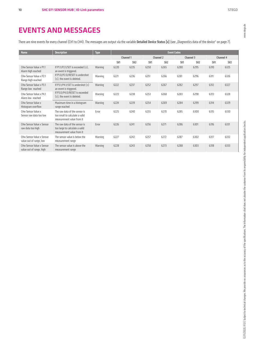www.stego.de

There are nine events for every channel (CH1 to CH4). The messages are output via the variable Detailed Device Status [x] (see "Diagnostics data of the device" on page 7).

| <b>Name</b>                                                  | <b>Description</b>                                                                           | <b>Type</b> |                 |                 |                 | <b>Event Codes</b> |                 |      |                 |      |
|--------------------------------------------------------------|----------------------------------------------------------------------------------------------|-------------|-----------------|-----------------|-----------------|--------------------|-----------------|------|-----------------|------|
|                                                              |                                                                                              |             | Channel 1       |                 | Channel 2       |                    | Channel 3       |      | Channel 4       |      |
|                                                              |                                                                                              |             | SV <sub>1</sub> | SV <sub>2</sub> | SV <sub>1</sub> | SV <sub>2</sub>    | SV <sub>1</sub> | SV2  | SV <sub>1</sub> | SV2  |
| CHw Sensor Value x P1.1<br>Alarm high reached                | If P1.1/P2.1/SET is exceeded $(2)$ ,<br>an event is triggered.                               | Warning     | 6220            | 6235            | 6250            | 6265               | 6280            | 6295 | 6310            | 6325 |
| CHw Sensor Value x P2.1<br>Range high reached                | If P1.0/P2.0/RESET is undershot<br>$(\le)$ , the event is deleted.                           | Warning     | 6221            | 6236            | 6251            | 6266               | 6281            | 6296 | 6311            | 6326 |
| CHw Sensor Value x P3.1<br>Range low reached                 | If P3.1/P4.1/SET is undershot $(\le)$<br>an event is triggered.                              | Warning     | 6222            | 6237            | 6252            | 6267               | 6282            | 6297 | 6312            | 6327 |
| CHw Sensor Value x P4.1<br>Alarm low reached                 | If P3.0/P4.0/RESET is exceeded<br>$(\ge)$ , the event is deleted.                            | Warning     | 6223            | 6238            | 6253            | 6268               | 6283            | 6298 | 6313            | 6328 |
| CHw Sensor Value x<br>Histogram overflow                     | Maximum time in a histogram<br>range reached                                                 | Warning     | 6224            | 6239            | 6254            | 6269               | 6284            | 6299 | 6314            | 6329 |
| CHw Sensor Value x<br>Sensor raw data too low                | The raw data of the sensor is<br>too small to calculate a valid<br>measurement value from it | Error       | 6225            | 6240            | 6255            | 6270               | 6285            | 6300 | 6315            | 6330 |
| <b>CHw Sensor Value x Sensor</b><br>raw data too high        | The raw data of the sensor is<br>too large to calculate a valid<br>measurement value from it | Error       | 6226            | 6241            | 6256            | 6271               | 6286            | 6301 | 6316            | 6331 |
| <b>CHw Sensor Value x Sensor</b><br>value out of range, low  | The sensor value is helow the<br>measurement range                                           | Warning     | 6227            | 6242            | 6257            | 6272               | 6287            | 6302 | 6317            | 6332 |
| <b>CHw Sensor Value x Sensor</b><br>value out of range, high | The sensor value is above the<br>measurement range                                           | Warning     | 6228            | 6243            | 6258            | 6273               | 6288            | 6303 | 6318            | 6333 |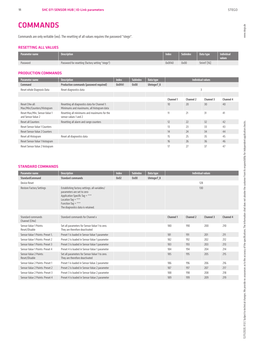### Commands are only writable (wo). The resetting of all values requires the password "stego".

#### RESETTING ALL VALUES

**COMMANDS** 

| l Parameter name ' | <b>Description</b>                               | Index  | <b>Subindex</b> | Data type    | Individual<br>values |
|--------------------|--------------------------------------------------|--------|-----------------|--------------|----------------------|
| Password           | Password for resetting (factory setting "stego") | 0x0FA0 | 0x00            | StrintT [16] |                      |

#### PRODUCTION COMMANDS

| Parameter name                                      | <b>Description</b>                                                                         | <b>Index</b> | <b>Subindex</b> | Data type   | <b>Individual values</b> |           |           |           |  |
|-----------------------------------------------------|--------------------------------------------------------------------------------------------|--------------|-----------------|-------------|--------------------------|-----------|-----------|-----------|--|
| Command                                             | Production commands (password required)                                                    | 0x0FA1       | 0x00            | UIntegerT 8 |                          |           |           |           |  |
| Reset whole Diagnosis Data                          | Reset diagnostics data                                                                     |              |                 |             |                          |           |           |           |  |
|                                                     |                                                                                            |              |                 |             |                          |           |           |           |  |
|                                                     |                                                                                            |              |                 |             | <b>Channel 1</b>         | Channel 2 | Channel 3 | Channel 4 |  |
| Reset CHw all:<br>Max/Min/Counters/Histogram        | Resetting all diagnostics data for Channel 1:<br>Minimums and maximums, all histogram data |              |                 |             | 10                       | 20        | 30        | 40        |  |
| Reset Max/Min, Sensor Value 1<br>and Sensor Value 2 | Resetting all minimums and maximums for the<br>sensor values 1 and 2                       |              |                 |             | 11                       | 21        | 31        | 41        |  |
| Reset all Counters                                  | Resetting all alarm and range counters                                                     |              |                 |             | 12                       | 22        | 32        | 42        |  |
| <b>Reset Sensor Value 1 Counters</b>                |                                                                                            |              |                 |             | 13                       | 23        | 33        | 43        |  |
| <b>Reset Sensor Value 2 Counters</b>                |                                                                                            |              |                 |             | 14                       | 24        | 34        | 44        |  |
| Reset all Histogram                                 | Reset all diagnostics data                                                                 |              |                 |             | 15                       | 25        | 35        | 45        |  |
| Reset Sensor Value 1 histogram                      |                                                                                            |              |                 |             | 16                       | 26        | 36        | 46        |  |
| Reset Sensor Value 2 histogram                      |                                                                                            |              |                 |             |                          | 27        | 37        | 47        |  |

#### STANDARD COMMANDS

| <b>Parameter name</b>                   | <b>Description</b>                                                                                                                                                                             | <b>Index</b> | <b>Subindex</b> | Data type   |                  | <b>Individual values</b> |           |           |  |
|-----------------------------------------|------------------------------------------------------------------------------------------------------------------------------------------------------------------------------------------------|--------------|-----------------|-------------|------------------|--------------------------|-----------|-----------|--|
| <b>StandardCommand</b>                  | <b>Standard commands</b>                                                                                                                                                                       | 0x02         | 0x00            | UIntegerT 8 |                  |                          |           |           |  |
| Device Reset                            |                                                                                                                                                                                                |              |                 |             |                  | 128                      |           |           |  |
| <b>Restore Factory Settings</b>         | Establishing factory settings; all variables/<br>parameters are set to zero<br>Application Specific Tag = ***<br>Location Tag = ***<br>Function Tag = ***<br>The diagnostics data is retained. |              |                 |             | 130              |                          |           |           |  |
|                                         |                                                                                                                                                                                                |              |                 |             |                  |                          |           |           |  |
| Standard commands<br>Channel (CHw)      | Standard commands for Channel x                                                                                                                                                                |              |                 |             | <b>Channel 1</b> | Channel 2                | Channel 3 | Channel 4 |  |
| Sensor Value 1 Points:<br>Reset/Disable | Set all parameters for Sensor Value 1 to zero.<br>They are therefore deactivated                                                                                                               |              |                 |             | 180              | 190                      | 200       | 210       |  |
| Sensor Value 1 Points: Preset 1.        | Preset 1 is loaded in Sensor Value 1 parameter                                                                                                                                                 |              |                 |             | 181              | 191                      | 201       | 211       |  |
| Sensor Value 1 Points: Preset 2         | Preset 2 is loaded in Sensor Value 1 parameter                                                                                                                                                 |              |                 |             | 182              | 192                      | 202       | 212       |  |
| Sensor Value 1 Points: Preset 3         | Preset 3 is loaded in Sensor Value 1 parameter                                                                                                                                                 |              |                 |             | 183              | 193                      | 203       | 213       |  |
| Sensor Value 1 Points: Preset 4         | Preset 4 is loaded in Sensor Value 1 parameter                                                                                                                                                 |              |                 |             | 184              | 194                      | 204       | 214       |  |
| Sensor Value 2 Points:<br>Reset/Disable | Set all parameters for Sensor Value 1 to zero.<br>They are therefore deactivated                                                                                                               |              |                 |             | 185              | 195                      | 205       | 215       |  |
| Sensor Value 2 Points: Preset 1         | Preset 1 is loaded in Sensor Value 2 parameter                                                                                                                                                 |              |                 |             | 186              | 196                      | 206       | 216       |  |
| Sensor Value 2 Points: Preset 2         | Preset 2 is loaded in Sensor Value 2 parameter                                                                                                                                                 |              |                 |             | 187              | 197                      | 207       | 217       |  |
| Sensor Value 2 Points: Preset 3         | Preset 3 is loaded in Sensor Value 2 parameter                                                                                                                                                 |              |                 |             | 188              | 198                      | 208       | 218       |  |
| Sensor Value 2 Points: Preset 4         | Preset 4 is loaded in Sensor Value 2 parameter                                                                                                                                                 |              |                 |             | 189              | 199                      | 209       | 219       |  |